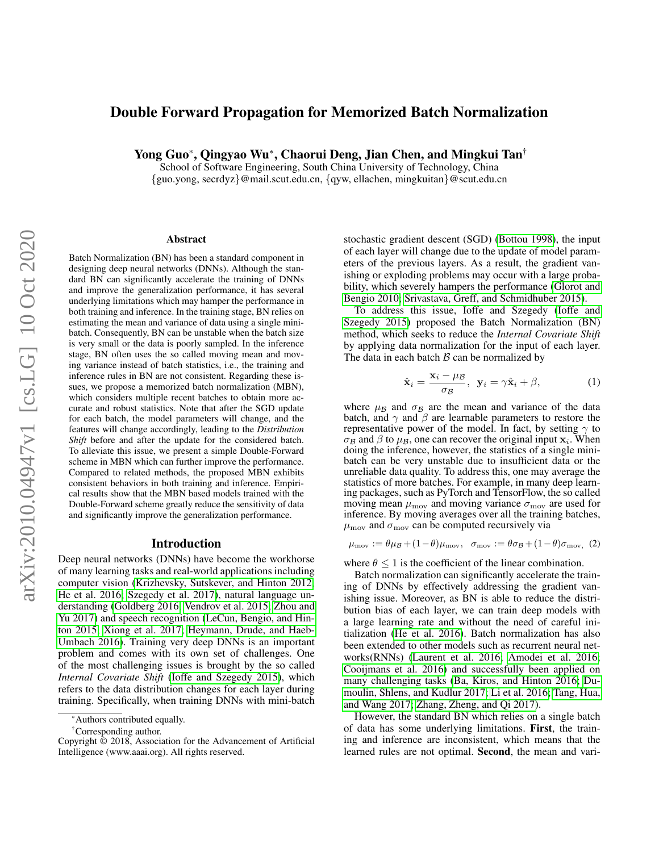# Double Forward Propagation for Memorized Batch Normalization

Yong Guo\*, Qingyao Wu<sup>∗</sup> , Chaorui Deng, Jian Chen, and Mingkui Tan†

School of Software Engineering, South China University of Technology, China  $\{\text{guo.vong, secrdyz}\}\n\omega$ mail.scut.edu.cn,  $\{qyw,$ ellachen, mingkuitan $\}\n\omega$ scut.edu.cn

#### Abstract

Batch Normalization (BN) has been a standard component in designing deep neural networks (DNNs). Although the standard BN can significantly accelerate the training of DNNs and improve the generalization performance, it has several underlying limitations which may hamper the performance in both training and inference. In the training stage, BN relies on estimating the mean and variance of data using a single minibatch. Consequently, BN can be unstable when the batch size is very small or the data is poorly sampled. In the inference stage, BN often uses the so called moving mean and moving variance instead of batch statistics, i.e., the training and inference rules in BN are not consistent. Regarding these issues, we propose a memorized batch normalization (MBN), which considers multiple recent batches to obtain more accurate and robust statistics. Note that after the SGD update for each batch, the model parameters will change, and the features will change accordingly, leading to the *Distribution Shift* before and after the update for the considered batch. To alleviate this issue, we present a simple Double-Forward scheme in MBN which can further improve the performance. Compared to related methods, the proposed MBN exhibits consistent behaviors in both training and inference. Empirical results show that the MBN based models trained with the Double-Forward scheme greatly reduce the sensitivity of data and significantly improve the generalization performance.

#### Introduction

Deep neural networks (DNNs) have become the workhorse of many learning tasks and real-world applications including computer vision [\(Krizhevsky, Sutskever, and Hinton 2012;](#page-7-0) [He et al. 2016;](#page-7-1) [Szegedy et al. 2017\)](#page-7-2), natural language understanding [\(Goldberg 2016;](#page-7-3) [Vendrov et al. 2015;](#page-7-4) [Zhou and](#page-7-5) [Yu 2017\)](#page-7-5) and speech recognition [\(LeCun, Bengio, and Hin](#page-7-6)[ton 2015;](#page-7-6) [Xiong et al. 2017;](#page-7-7) [Heymann, Drude, and Haeb-](#page-7-8)[Umbach 2016\)](#page-7-8). Training very deep DNNs is an important problem and comes with its own set of challenges. One of the most challenging issues is brought by the so called *Internal Covariate Shift* [\(Ioffe and Szegedy 2015\)](#page-7-9), which refers to the data distribution changes for each layer during training. Specifically, when training DNNs with mini-batch

†Corresponding author.

stochastic gradient descent (SGD) [\(Bottou 1998\)](#page-7-10), the input of each layer will change due to the update of model parameters of the previous layers. As a result, the gradient vanishing or exploding problems may occur with a large probability, which severely hampers the performance [\(Glorot and](#page-7-11) [Bengio 2010;](#page-7-11) [Srivastava, Greff, and Schmidhuber 2015\)](#page-7-12).

To address this issue, Ioffe and Szegedy [\(Ioffe and](#page-7-9) [Szegedy 2015\)](#page-7-9) proposed the Batch Normalization (BN) method, which seeks to reduce the *Internal Covariate Shift* by applying data normalization for the input of each layer. The data in each batch  $\beta$  can be normalized by

$$
\hat{\mathbf{x}}_i = \frac{\mathbf{x}_i - \mu_\mathcal{B}}{\sigma_\mathcal{B}}, \ \mathbf{y}_i = \gamma \hat{\mathbf{x}}_i + \beta,
$$
 (1)

where  $\mu_B$  and  $\sigma_B$  are the mean and variance of the data batch, and  $\gamma$  and  $\beta$  are learnable parameters to restore the representative power of the model. In fact, by setting  $\gamma$  to  $\sigma_B$  and  $\beta$  to  $\mu_B$ , one can recover the original input  $x_i$ . When doing the inference, however, the statistics of a single minibatch can be very unstable due to insufficient data or the unreliable data quality. To address this, one may average the statistics of more batches. For example, in many deep learning packages, such as PyTorch and TensorFlow, the so called moving mean  $\mu_{\text{mov}}$  and moving variance  $\sigma_{\text{mov}}$  are used for inference. By moving averages over all the training batches,  $\mu_{\text{mov}}$  and  $\sigma_{\text{mov}}$  can be computed recursively via

<span id="page-0-0"></span>
$$
\mu_{\text{mov}} := \theta \mu_{\mathcal{B}} + (1 - \theta) \mu_{\text{mov}}, \quad \sigma_{\text{mov}} := \theta \sigma_{\mathcal{B}} + (1 - \theta) \sigma_{\text{mov}}, \tag{2}
$$

where  $\theta \leq 1$  is the coefficient of the linear combination.

Batch normalization can significantly accelerate the training of DNNs by effectively addressing the gradient vanishing issue. Moreover, as BN is able to reduce the distribution bias of each layer, we can train deep models with a large learning rate and without the need of careful initialization [\(He et al. 2016\)](#page-7-1). Batch normalization has also been extended to other models such as recurrent neural networks(RNNs) [\(Laurent et al. 2016;](#page-7-13) [Amodei et al. 2016;](#page-7-14) [Cooijmans et al. 2016\)](#page-7-15) and successfully been applied on many challenging tasks [\(Ba, Kiros, and Hinton 2016;](#page-7-16) [Du](#page-7-17)[moulin, Shlens, and Kudlur 2017;](#page-7-17) [Li et al. 2016;](#page-7-18) [Tang, Hua,](#page-7-19) [and Wang 2017;](#page-7-19) [Zhang, Zheng, and Qi 2017\)](#page-7-20).

However, the standard BN which relies on a single batch of data has some underlying limitations. First, the training and inference are inconsistent, which means that the learned rules are not optimal. Second, the mean and vari-

<sup>\*</sup>Authors contributed equally.

Copyright © 2018, Association for the Advancement of Artificial Intelligence (www.aaai.org). All rights reserved.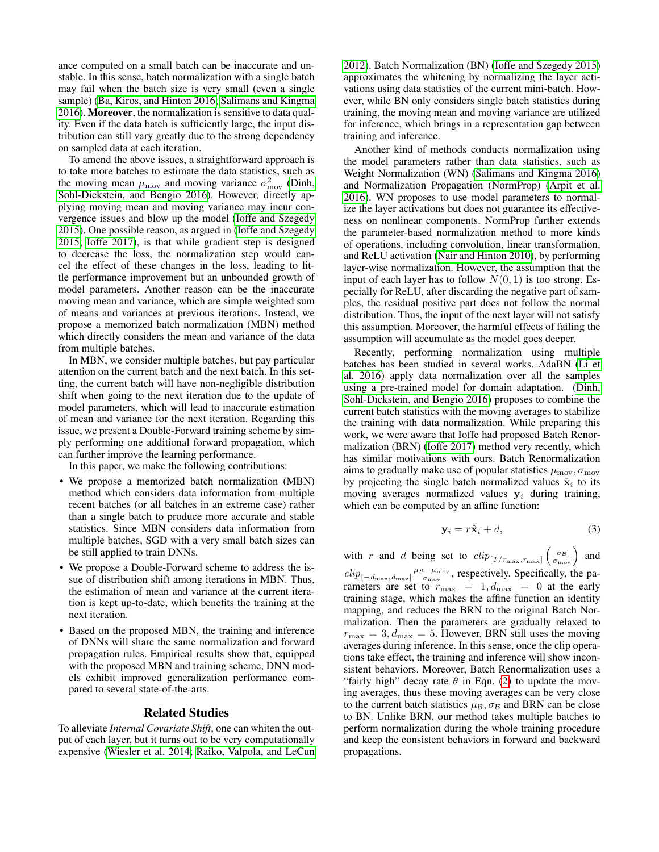ance computed on a small batch can be inaccurate and unstable. In this sense, batch normalization with a single batch may fail when the batch size is very small (even a single sample) [\(Ba, Kiros, and Hinton 2016;](#page-7-16) [Salimans and Kingma](#page-7-21) [2016\)](#page-7-21). Moreover, the normalization is sensitive to data quality. Even if the data batch is sufficiently large, the input distribution can still vary greatly due to the strong dependency on sampled data at each iteration.

To amend the above issues, a straightforward approach is to take more batches to estimate the data statistics, such as the moving mean  $\mu_{\text{mov}}$  and moving variance  $\sigma_{\text{mov}}^2$  [\(Dinh,](#page-7-22) [Sohl-Dickstein, and Bengio 2016\)](#page-7-22). However, directly applying moving mean and moving variance may incur convergence issues and blow up the model [\(Ioffe and Szegedy](#page-7-9) [2015\)](#page-7-9). One possible reason, as argued in [\(Ioffe and Szegedy](#page-7-9) [2015;](#page-7-9) [Ioffe 2017\)](#page-7-23), is that while gradient step is designed to decrease the loss, the normalization step would cancel the effect of these changes in the loss, leading to little performance improvement but an unbounded growth of model parameters. Another reason can be the inaccurate moving mean and variance, which are simple weighted sum of means and variances at previous iterations. Instead, we propose a memorized batch normalization (MBN) method which directly considers the mean and variance of the data from multiple batches.

In MBN, we consider multiple batches, but pay particular attention on the current batch and the next batch. In this setting, the current batch will have non-negligible distribution shift when going to the next iteration due to the update of model parameters, which will lead to inaccurate estimation of mean and variance for the next iteration. Regarding this issue, we present a Double-Forward training scheme by simply performing one additional forward propagation, which can further improve the learning performance.

In this paper, we make the following contributions:

- We propose a memorized batch normalization (MBN) method which considers data information from multiple recent batches (or all batches in an extreme case) rather than a single batch to produce more accurate and stable statistics. Since MBN considers data information from multiple batches, SGD with a very small batch sizes can be still applied to train DNNs.
- We propose a Double-Forward scheme to address the issue of distribution shift among iterations in MBN. Thus, the estimation of mean and variance at the current iteration is kept up-to-date, which benefits the training at the next iteration.
- Based on the proposed MBN, the training and inference of DNNs will share the same normalization and forward propagation rules. Empirical results show that, equipped with the proposed MBN and training scheme, DNN models exhibit improved generalization performance compared to several state-of-the-arts.

# Related Studies

To alleviate *Internal Covariate Shift*, one can whiten the output of each layer, but it turns out to be very computationally expensive [\(Wiesler et al. 2014;](#page-7-24) [Raiko, Valpola, and LeCun](#page-7-25) [2012\)](#page-7-25). Batch Normalization (BN) [\(Ioffe and Szegedy 2015\)](#page-7-9) approximates the whitening by normalizing the layer activations using data statistics of the current mini-batch. However, while BN only considers single batch statistics during training, the moving mean and moving variance are utilized for inference, which brings in a representation gap between training and inference.

Another kind of methods conducts normalization using the model parameters rather than data statistics, such as Weight Normalization (WN) [\(Salimans and Kingma 2016\)](#page-7-21) and Normalization Propagation (NormProp) [\(Arpit et al.](#page-7-26) [2016\)](#page-7-26). WN proposes to use model parameters to normalize the layer activations but does not guarantee its effectiveness on nonlinear components. NormProp further extends the parameter-based normalization method to more kinds of operations, including convolution, linear transformation, and ReLU activation [\(Nair and Hinton 2010\)](#page-7-27), by performing layer-wise normalization. However, the assumption that the input of each layer has to follow  $N(0, 1)$  is too strong. Especially for ReLU, after discarding the negative part of samples, the residual positive part does not follow the normal distribution. Thus, the input of the next layer will not satisfy this assumption. Moreover, the harmful effects of failing the assumption will accumulate as the model goes deeper.

Recently, performing normalization using multiple batches has been studied in several works. AdaBN [\(Li et](#page-7-18) [al. 2016\)](#page-7-18) apply data normalization over all the samples using a pre-trained model for domain adaptation. [\(Dinh,](#page-7-22) [Sohl-Dickstein, and Bengio 2016\)](#page-7-22) proposes to combine the current batch statistics with the moving averages to stabilize the training with data normalization. While preparing this work, we were aware that Ioffe had proposed Batch Renormalization (BRN) [\(Ioffe 2017\)](#page-7-23) method very recently, which has similar motivations with ours. Batch Renormalization aims to gradually make use of popular statistics  $\mu_{\text{mov}}, \sigma_{\text{mov}}$ by projecting the single batch normalized values  $\hat{\mathbf{x}}_i$  to its moving averages normalized values  $y_i$  during training, which can be computed by an affine function:

$$
\mathbf{y}_i = r\hat{\mathbf{x}}_i + d,\tag{3}
$$

with r and d being set to  $\text{clip}_{\frac{1}{r_{\text{max}},r_{\text{max}}}}\left(\frac{\sigma_{\text{B}}}{\sigma_{\text{mov}}}\right)$  and  $clip_{[-d_{\text{max}}, d_{\text{max}}]} \frac{\mu_B - \mu_{\text{mov}}}{\sigma_{\text{mov}}}$ , respectively. Specifically, the parameters are set to  $r_{\text{max}} = 1, d_{\text{max}} = 0$  at the early training stage, which makes the affine function an identity mapping, and reduces the BRN to the original Batch Normalization. Then the parameters are gradually relaxed to  $r_{\text{max}} = 3, d_{\text{max}} = 5$ . However, BRN still uses the moving averages during inference. In this sense, once the clip operations take effect, the training and inference will show inconsistent behaviors. Moreover, Batch Renormalization uses a "fairly high" decay rate  $\theta$  in Eqn. [\(2\)](#page-0-0) to update the moving averages, thus these moving averages can be very close to the current batch statistics  $\mu_B$ ,  $\sigma_B$  and BRN can be close to BN. Unlike BRN, our method takes multiple batches to perform normalization during the whole training procedure and keep the consistent behaviors in forward and backward propagations.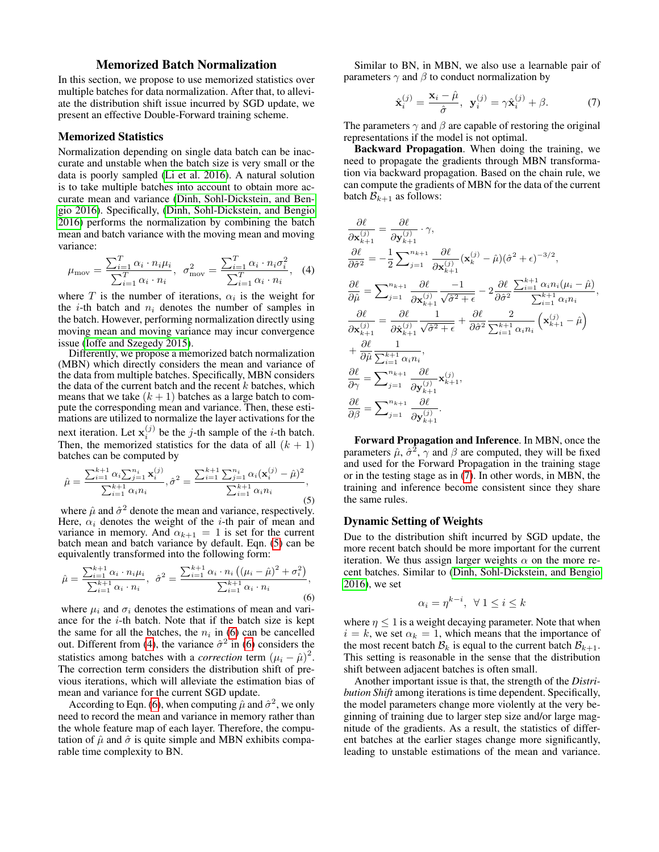# Memorized Batch Normalization

In this section, we propose to use memorized statistics over multiple batches for data normalization. After that, to alleviate the distribution shift issue incurred by SGD update, we present an effective Double-Forward training scheme.

#### Memorized Statistics

Normalization depending on single data batch can be inaccurate and unstable when the batch size is very small or the data is poorly sampled [\(Li et al. 2016\)](#page-7-18). A natural solution is to take multiple batches into account to obtain more accurate mean and variance [\(Dinh, Sohl-Dickstein, and Ben](#page-7-22)[gio 2016\)](#page-7-22). Specifically, [\(Dinh, Sohl-Dickstein, and Bengio](#page-7-22) [2016\)](#page-7-22) performs the normalization by combining the batch mean and batch variance with the moving mean and moving variance:

<span id="page-2-2"></span>
$$
\mu_{\text{mov}} = \frac{\sum_{i=1}^{T} \alpha_i \cdot n_i \mu_i}{\sum_{i=1}^{T} \alpha_i \cdot n_i}, \ \sigma_{\text{mov}}^2 = \frac{\sum_{i=1}^{T} \alpha_i \cdot n_i \sigma_i^2}{\sum_{i=1}^{T} \alpha_i \cdot n_i}, \ \ (4)
$$

where T is the number of iterations,  $\alpha_i$  is the weight for the *i*-th batch and  $n_i$  denotes the number of samples in the batch. However, performing normalization directly using moving mean and moving variance may incur convergence issue [\(Ioffe and Szegedy 2015\)](#page-7-9).

Differently, we propose a memorized batch normalization (MBN) which directly considers the mean and variance of the data from multiple batches. Specifically, MBN considers the data of the current batch and the recent  $k$  batches, which means that we take  $(k + 1)$  batches as a large batch to compute the corresponding mean and variance. Then, these estimations are utilized to normalize the layer activations for the next iteration. Let  $\mathbf{x}_i^{(j)}$  be the *j*-th sample of the *i*-th batch. Then, the memorized statistics for the data of all  $(k + 1)$ batches can be computed by

<span id="page-2-0"></span>
$$
\hat{\mu} = \frac{\sum_{i=1}^{k+1} \alpha_i \sum_{j=1}^{n_i} \mathbf{x}_i^{(j)}}{\sum_{i=1}^{k+1} \alpha_i n_i}, \hat{\sigma}^2 = \frac{\sum_{i=1}^{k+1} \sum_{j=1}^{n_i} \alpha_i (\mathbf{x}_i^{(j)} - \hat{\mu})^2}{\sum_{i=1}^{k+1} \alpha_i n_i},
$$
\n(5)

where  $\hat{\mu}$  and  $\hat{\sigma}^2$  denote the mean and variance, respectively. Here,  $\alpha_i$  denotes the weight of the *i*-th pair of mean and variance in memory. And  $\alpha_{k+1} = 1$  is set for the current batch mean and batch variance by default. Eqn. [\(5\)](#page-2-0) can be equivalently transformed into the following form:

<span id="page-2-1"></span>
$$
\hat{\mu} = \frac{\sum_{i=1}^{k+1} \alpha_i \cdot n_i \mu_i}{\sum_{i=1}^{k+1} \alpha_i \cdot n_i}, \ \hat{\sigma}^2 = \frac{\sum_{i=1}^{k+1} \alpha_i \cdot n_i \left( (\mu_i - \hat{\mu})^2 + \sigma_i^2 \right)}{\sum_{i=1}^{k+1} \alpha_i \cdot n_i},\tag{6}
$$

where  $\mu_i$  and  $\sigma_i$  denotes the estimations of mean and variance for the  $i$ -th batch. Note that if the batch size is kept the same for all the batches, the  $n_i$  in [\(6\)](#page-2-1) can be cancelled out. Different from [\(4\)](#page-2-2), the variance  $\hat{\sigma}^2$  in [\(6\)](#page-2-1) considers the statistics among batches with a *correction* term  $(\mu_i - \hat{\mu})^2$ . The correction term considers the distribution shift of previous iterations, which will alleviate the estimation bias of mean and variance for the current SGD update.

According to Eqn. [\(6\)](#page-2-1), when computing  $\hat{\mu}$  and  $\hat{\sigma}^2$ , we only need to record the mean and variance in memory rather than the whole feature map of each layer. Therefore, the computation of  $\hat{\mu}$  and  $\hat{\sigma}$  is quite simple and MBN exhibits comparable time complexity to BN.

Similar to BN, in MBN, we also use a learnable pair of parameters  $\gamma$  and  $\beta$  to conduct normalization by

<span id="page-2-3"></span>
$$
\hat{\mathbf{x}}_i^{(j)} = \frac{\mathbf{x}_i - \hat{\mu}}{\hat{\sigma}}, \ \mathbf{y}_i^{(j)} = \gamma \hat{\mathbf{x}}_i^{(j)} + \beta. \tag{7}
$$

The parameters  $\gamma$  and  $\beta$  are capable of restoring the original representations if the model is not optimal.

Backward Propagation. When doing the training, we need to propagate the gradients through MBN transformation via backward propagation. Based on the chain rule, we can compute the gradients of MBN for the data of the current batch  $\mathcal{B}_{k+1}$  as follows:

<span id="page-2-4"></span>
$$
\frac{\partial \ell}{\partial \mathbf{x}_{k+1}^{(j)}} = \frac{\partial \ell}{\partial \mathbf{y}_{k+1}^{(j)}} \cdot \gamma,
$$
\n
$$
\frac{\partial \ell}{\partial \hat{\sigma}^2} = -\frac{1}{2} \sum_{j=1}^{n_{k+1}} \frac{\partial \ell}{\partial \mathbf{x}_{k+1}^{(j)}} (\mathbf{x}_{k}^{(j)} - \hat{\mu})(\hat{\sigma}^2 + \epsilon)^{-3/2},
$$
\n
$$
\frac{\partial \ell}{\partial \hat{\mu}} = \sum_{j=1}^{n_{k+1}} \frac{\partial \ell}{\partial \mathbf{x}_{k+1}^{(j)}} \frac{-1}{\sqrt{\hat{\sigma}^2 + \epsilon}} - 2 \frac{\partial \ell}{\partial \hat{\sigma}^2} \frac{\sum_{i=1}^{k+1} \alpha_i n_i (\mu_i - \hat{\mu})}{\sum_{i=1}^{k+1} \alpha_i n_i},
$$
\n
$$
\frac{\partial \ell}{\partial \mathbf{x}_{k+1}^{(j)}} = \frac{\partial \ell}{\partial \hat{\mathbf{x}}_{k+1}^{(j)}} \frac{1}{\sqrt{\hat{\sigma}^2 + \epsilon}} + \frac{\partial \ell}{\partial \hat{\sigma}^2} \frac{2}{\sum_{i=1}^{k+1} \alpha_i n_i} (\mathbf{x}_{k+1}^{(j)} - \hat{\mu})
$$
\n
$$
+ \frac{\partial \ell}{\partial \hat{\mu}} \frac{1}{\sum_{i=1}^{k+1} \alpha_i n_i},
$$
\n
$$
\frac{\partial \ell}{\partial \gamma} = \sum_{j=1}^{n_{k+1}} \frac{\partial \ell}{\partial \mathbf{y}_{k+1}^{(j)}} \mathbf{x}_{k+1}^{(j)},
$$
\n
$$
\frac{\partial \ell}{\partial \beta} = \sum_{j=1}^{n_{k+1}} \frac{\partial \ell}{\partial \mathbf{y}_{k+1}^{(j)}}.
$$

Forward Propagation and Inference. In MBN, once the parameters  $\hat{\mu}$ ,  $\hat{\sigma}^2$ ,  $\gamma$  and  $\beta$  are computed, they will be fixed and used for the Forward Propagation in the training stage or in the testing stage as in [\(7\)](#page-2-3). In other words, in MBN, the training and inference become consistent since they share the same rules.

#### Dynamic Setting of Weights

Due to the distribution shift incurred by SGD update, the more recent batch should be more important for the current iteration. We thus assign larger weights  $\alpha$  on the more recent batches. Similar to [\(Dinh, Sohl-Dickstein, and Bengio](#page-7-22) [2016\)](#page-7-22), we set

$$
\alpha_i = \eta^{k-i}, \ \forall \ 1 \leq i \leq k
$$

where  $\eta \leq 1$  is a weight decaying parameter. Note that when  $i = k$ , we set  $\alpha_k = 1$ , which means that the importance of the most recent batch  $\mathcal{B}_k$  is equal to the current batch  $\mathcal{B}_{k+1}$ . This setting is reasonable in the sense that the distribution shift between adjacent batches is often small.

Another important issue is that, the strength of the *Distribution Shift* among iterations is time dependent. Specifically, the model parameters change more violently at the very beginning of training due to larger step size and/or large magnitude of the gradients. As a result, the statistics of different batches at the earlier stages change more significantly, leading to unstable estimations of the mean and variance.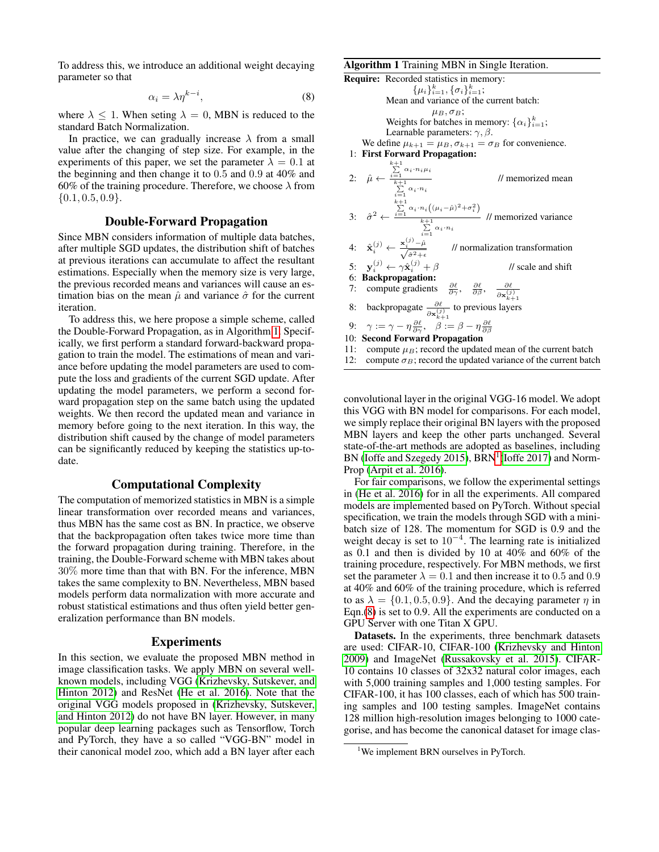To address this, we introduce an additional weight decaying parameter so that

$$
\alpha_i = \lambda \eta^{k-i},\tag{8}
$$

where  $\lambda \leq 1$ . When seting  $\lambda = 0$ , MBN is reduced to the standard Batch Normalization.

In practice, we can gradually increase  $\lambda$  from a small value after the changing of step size. For example, in the experiments of this paper, we set the parameter  $\overline{\lambda} = 0.1$  at the beginning and then change it to 0.5 and 0.9 at 40% and 60% of the training procedure. Therefore, we choose  $\lambda$  from  $\{0.1, 0.5, 0.9\}.$ 

# Double-Forward Propagation

Since MBN considers information of multiple data batches, after multiple SGD updates, the distribution shift of batches at previous iterations can accumulate to affect the resultant estimations. Especially when the memory size is very large, the previous recorded means and variances will cause an estimation bias on the mean  $\hat{\mu}$  and variance  $\hat{\sigma}$  for the current iteration.

To address this, we here propose a simple scheme, called the Double-Forward Propagation, as in Algorithm [1.](#page-3-0) Specifically, we first perform a standard forward-backward propagation to train the model. The estimations of mean and variance before updating the model parameters are used to compute the loss and gradients of the current SGD update. After updating the model parameters, we perform a second forward propagation step on the same batch using the updated weights. We then record the updated mean and variance in memory before going to the next iteration. In this way, the distribution shift caused by the change of model parameters can be significantly reduced by keeping the statistics up-todate.

# Computational Complexity

The computation of memorized statistics in MBN is a simple linear transformation over recorded means and variances, thus MBN has the same cost as BN. In practice, we observe that the backpropagation often takes twice more time than the forward propagation during training. Therefore, in the training, the Double-Forward scheme with MBN takes about 30% more time than that with BN. For the inference, MBN takes the same complexity to BN. Nevertheless, MBN based models perform data normalization with more accurate and robust statistical estimations and thus often yield better generalization performance than BN models.

#### Experiments

In this section, we evaluate the proposed MBN method in image classification tasks. We apply MBN on several wellknown models, including VGG [\(Krizhevsky, Sutskever, and](#page-7-0) [Hinton 2012\)](#page-7-0) and ResNet [\(He et al. 2016\)](#page-7-1). Note that the original VGG models proposed in [\(Krizhevsky, Sutskever,](#page-7-0) [and Hinton 2012\)](#page-7-0) do not have BN layer. However, in many popular deep learning packages such as Tensorflow, Torch and PyTorch, they have a so called "VGG-BN" model in their canonical model zoo, which add a BN layer after each

#### <span id="page-3-0"></span>Algorithm 1 Training MBN in Single Iteration.

```
Require: Recorded statistics in memory:
                                \{\mu_i\}_{i=1}^k, \{\sigma_i\}_{i=1}^k;Mean and variance of the current batch:
                                        \mu_B, \sigma_B;Weights for batches in memory: \{\alpha_i\}_{i=1}^k;
                  Learnable parameters: \gamma, \beta.
        We define \mu_{k+1} = \mu_B, \sigma_{k+1} = \sigma_B for convenience.
  1: First Forward Propagation:
  2: \hat{\mu} \leftarrow\sum_{i=1}^{k+1} \alpha_i \cdot n_i \mu_i\sum_{i=1}^{k+1} \alpha_i \cdot n_i// memorized mean
  3: \hat{\sigma}^2 \leftarrow\sum_{i=1}^{k+1} \alpha_i \cdot n_i ((\mu_i - \hat{\mu})^2 + \sigma_i^2)\sum_{i=1}^{k+1} \alpha_i \cdot n_i// memorized variance
  4: \hat{\mathbf{x}}_i^{(j)} \leftarrow \frac{\mathbf{x}_i^{(j)} - \hat{\mu}}{\sqrt{\hat{\sigma}^2 + \epsilon}}// normalization transformation
  5: \mathbf{y}_i^{(j)} \leftarrow \gamma \hat{\mathbf{x}}_i^{(j)}\frac{1}{\sqrt{2}} scale and shift
  6: Backpropagation:
  7: compute gradients \frac{\partial \ell}{\partial \gamma}, \frac{\partial \ell}{\partial \beta}, \frac{\partial \ell}{\partial x^{(j)}}\partial \mathbf{x}_{k+1}^{(j)}8: backpropagate \frac{\partial \ell}{\partial \mathbf{x}_{k+1}^{(j)}} to previous layers
  9: \gamma:=\gamma-\eta\frac{\partial \ell}{\partial \gamma},\ \ \ \beta:=\beta-\eta\frac{\partial \ell}{\partial \beta}10: Second Forward Propagation
11: compute \mu_B; record the updated mean of the current batch
12: compute \sigma_B; record the updated variance of the current batch
```
convolutional layer in the original VGG-16 model. We adopt this VGG with BN model for comparisons. For each model, we simply replace their original BN layers with the proposed MBN layers and keep the other parts unchanged. Several state-of-the-art methods are adopted as baselines, including BN [\(Ioffe and Szegedy 2015\)](#page-7-9), BRN<sup>[1](#page-3-1)</sup> [\(Ioffe 2017\)](#page-7-23) and Norm-Prop [\(Arpit et al. 2016\)](#page-7-26).

For fair comparisons, we follow the experimental settings in [\(He et al. 2016\)](#page-7-1) for in all the experiments. All compared models are implemented based on PyTorch. Without special specification, we train the models through SGD with a minibatch size of 128. The momentum for SGD is 0.9 and the weight decay is set to  $10^{-4}$ . The learning rate is initialized as 0.1 and then is divided by 10 at 40% and 60% of the training procedure, respectively. For MBN methods, we first set the parameter  $\lambda = 0.1$  and then increase it to 0.5 and 0.9 at 40% and 60% of the training procedure, which is referred to as  $\lambda = \{0.1, 0.5, 0.9\}$ . And the decaying parameter  $\eta$  in Eqn.[\(8\)](#page-2-4) is set to 0.9. All the experiments are conducted on a GPU Server with one Titan X GPU.

Datasets. In the experiments, three benchmark datasets are used: CIFAR-10, CIFAR-100 [\(Krizhevsky and Hinton](#page-7-28) [2009\)](#page-7-28) and ImageNet [\(Russakovsky et al. 2015\)](#page-7-29). CIFAR-10 contains 10 classes of 32x32 natural color images, each with 5,000 training samples and 1,000 testing samples. For CIFAR-100, it has 100 classes, each of which has 500 training samples and 100 testing samples. ImageNet contains 128 million high-resolution images belonging to 1000 categorise, and has become the canonical dataset for image clas-

<span id="page-3-1"></span><sup>&</sup>lt;sup>1</sup>We implement BRN ourselves in PyTorch.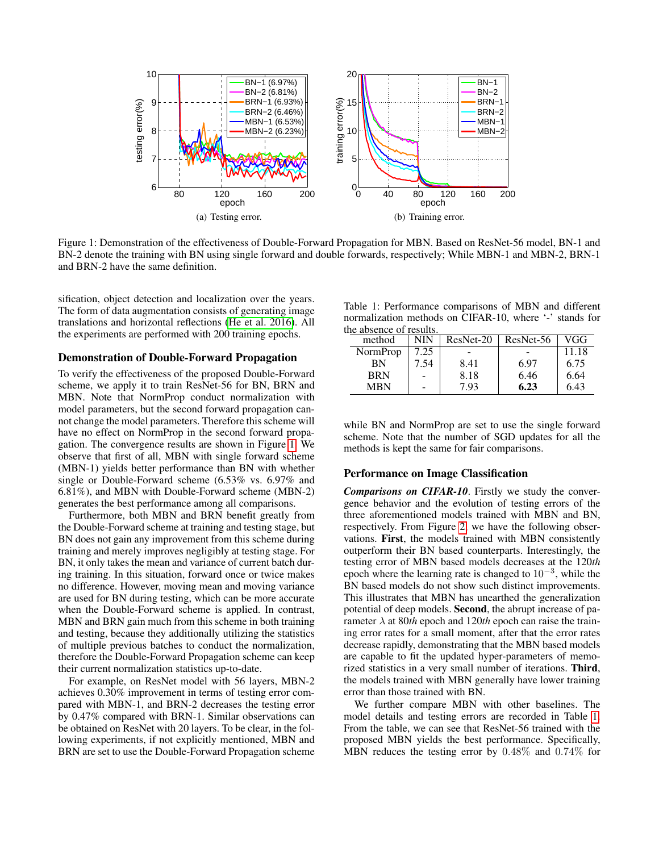

<span id="page-4-0"></span>Figure 1: Demonstration of the effectiveness of Double-Forward Propagation for MBN. Based on ResNet-56 model, BN-1 and BN-2 denote the training with BN using single forward and double forwards, respectively; While MBN-1 and MBN-2, BRN-1 and BRN-2 have the same definition.

sification, object detection and localization over the years. The form of data augmentation consists of generating image translations and horizontal reflections [\(He et al. 2016\)](#page-7-1). All the experiments are performed with 200 training epochs.

#### Demonstration of Double-Forward Propagation

To verify the effectiveness of the proposed Double-Forward scheme, we apply it to train ResNet-56 for BN, BRN and MBN. Note that NormProp conduct normalization with model parameters, but the second forward propagation cannot change the model parameters. Therefore this scheme will have no effect on NormProp in the second forward propagation. The convergence results are shown in Figure [1.](#page-4-0) We observe that first of all, MBN with single forward scheme (MBN-1) yields better performance than BN with whether single or Double-Forward scheme (6.53% vs. 6.97% and 6.81%), and MBN with Double-Forward scheme (MBN-2) generates the best performance among all comparisons.

Furthermore, both MBN and BRN benefit greatly from the Double-Forward scheme at training and testing stage, but BN does not gain any improvement from this scheme during training and merely improves negligibly at testing stage. For BN, it only takes the mean and variance of current batch during training. In this situation, forward once or twice makes no difference. However, moving mean and moving variance are used for BN during testing, which can be more accurate when the Double-Forward scheme is applied. In contrast, MBN and BRN gain much from this scheme in both training and testing, because they additionally utilizing the statistics of multiple previous batches to conduct the normalization, therefore the Double-Forward Propagation scheme can keep their current normalization statistics up-to-date.

For example, on ResNet model with 56 layers, MBN-2 achieves 0.30% improvement in terms of testing error compared with MBN-1, and BRN-2 decreases the testing error by 0.47% compared with BRN-1. Similar observations can be obtained on ResNet with 20 layers. To be clear, in the following experiments, if not explicitly mentioned, MBN and BRN are set to use the Double-Forward Propagation scheme

<span id="page-4-1"></span>Table 1: Performance comparisons of MBN and different normalization methods on CIFAR-10, where '-' stands for the absence of results.

| in abschee vi resuns. |      |           |           |       |
|-----------------------|------|-----------|-----------|-------|
| method                | NIN  | ResNet-20 | ResNet-56 | VGG   |
| NormProp              | 7.25 |           |           | 11.18 |
| BN                    | 7.54 | 8.41      | 6.97      | 6.75  |
| <b>BRN</b>            |      | 8.18      | 6.46      | 6.64  |
| <b>MBN</b>            |      | 7.93      | 6.23      | 6.43  |

while BN and NormProp are set to use the single forward scheme. Note that the number of SGD updates for all the methods is kept the same for fair comparisons.

#### Performance on Image Classification

*Comparisons on CIFAR-10*. Firstly we study the convergence behavior and the evolution of testing errors of the three aforementioned models trained with MBN and BN, respectively. From Figure [2,](#page-5-0) we have the following observations. First, the models trained with MBN consistently outperform their BN based counterparts. Interestingly, the testing error of MBN based models decreases at the 120*th* epoch where the learning rate is changed to  $10^{-3}$ , while the BN based models do not show such distinct improvements. This illustrates that MBN has unearthed the generalization potential of deep models. Second, the abrupt increase of parameter  $\lambda$  at 80*th* epoch and 120*th* epoch can raise the training error rates for a small moment, after that the error rates decrease rapidly, demonstrating that the MBN based models are capable to fit the updated hyper-parameters of memorized statistics in a very small number of iterations. Third, the models trained with MBN generally have lower training error than those trained with BN.

We further compare MBN with other baselines. The model details and testing errors are recorded in Table [1.](#page-4-1) From the table, we can see that ResNet-56 trained with the proposed MBN yields the best performance. Specifically, MBN reduces the testing error by 0.48% and 0.74% for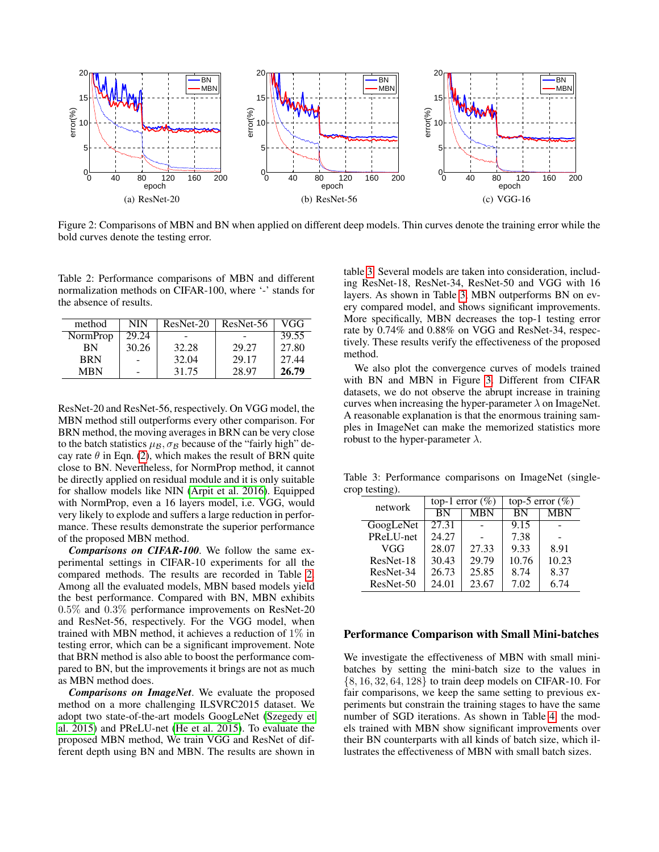

<span id="page-5-0"></span>Figure 2: Comparisons of MBN and BN when applied on different deep models. Thin curves denote the training error while the bold curves denote the testing error.

<span id="page-5-1"></span>Table 2: Performance comparisons of MBN and different normalization methods on CIFAR-100, where '-' stands for the absence of results.

| method     | NIN   | ResNet-20 | ResNet-56 | VGG   |
|------------|-------|-----------|-----------|-------|
| NormProp   | 29.24 |           |           | 39.55 |
| ΒN         | 30.26 | 32.28     | 29.27     | 27.80 |
| <b>BRN</b> |       | 32.04     | 29.17     | 27.44 |
| <b>MRN</b> |       | 31.75     | 28.97     | 26.79 |

ResNet-20 and ResNet-56, respectively. On VGG model, the MBN method still outperforms every other comparison. For BRN method, the moving averages in BRN can be very close to the batch statistics  $\mu_B$ ,  $\sigma_B$  because of the "fairly high" decay rate  $\theta$  in Eqn. [\(2\)](#page-0-0), which makes the result of BRN quite close to BN. Nevertheless, for NormProp method, it cannot be directly applied on residual module and it is only suitable for shallow models like NIN [\(Arpit et al. 2016\)](#page-7-26). Equipped with NormProp, even a 16 layers model, i.e. VGG, would very likely to explode and suffers a large reduction in performance. These results demonstrate the superior performance of the proposed MBN method.

*Comparisons on CIFAR-100*. We follow the same experimental settings in CIFAR-10 experiments for all the compared methods. The results are recorded in Table [2.](#page-5-1) Among all the evaluated models, MBN based models yield the best performance. Compared with BN, MBN exhibits 0.5% and 0.3% performance improvements on ResNet-20 and ResNet-56, respectively. For the VGG model, when trained with MBN method, it achieves a reduction of 1% in testing error, which can be a significant improvement. Note that BRN method is also able to boost the performance compared to BN, but the improvements it brings are not as much as MBN method does.

*Comparisons on ImageNet*. We evaluate the proposed method on a more challenging ILSVRC2015 dataset. We adopt two state-of-the-art models GoogLeNet [\(Szegedy et](#page-7-30) [al. 2015\)](#page-7-30) and PReLU-net [\(He et al. 2015\)](#page-7-31). To evaluate the proposed MBN method, We train VGG and ResNet of different depth using BN and MBN. The results are shown in

table [3.](#page-5-2) Several models are taken into consideration, including ResNet-18, ResNet-34, ResNet-50 and VGG with 16 layers. As shown in Table [3,](#page-5-2) MBN outperforms BN on every compared model, and shows significant improvements. More specifically, MBN decreases the top-1 testing error rate by 0.74% and 0.88% on VGG and ResNet-34, respectively. These results verify the effectiveness of the proposed method.

We also plot the convergence curves of models trained with BN and MBN in Figure [3.](#page-5-2) Different from CIFAR datasets, we do not observe the abrupt increase in training curves when increasing the hyper-parameter  $\lambda$  on ImageNet. A reasonable explanation is that the enormous training samples in ImageNet can make the memorized statistics more robust to the hyper-parameter  $\lambda$ .

Table 3: Performance comparisons on ImageNet (singlecrop testing).

<span id="page-5-2"></span>

| network   | top-1 error $(\% )$ |       | top-5 error $(\% )$ |            |
|-----------|---------------------|-------|---------------------|------------|
|           | BN                  | MBN   | BN                  | <b>MBN</b> |
| GoogLeNet | 27.31               |       | 9.15                |            |
| PReLU-net | 24.27               |       | 7.38                |            |
| VGG       | 28.07               | 27.33 | 9.33                | 8.91       |
| ResNet-18 | 30.43               | 29.79 | 10.76               | 10.23      |
| ResNet-34 | 26.73               | 25.85 | 8.74                | 8.37       |
| ResNet-50 | 24.01               | 23.67 | 7.02                | 6.74       |

#### Performance Comparison with Small Mini-batches

We investigate the effectiveness of MBN with small minibatches by setting the mini-batch size to the values in {8, 16, 32, 64, 128} to train deep models on CIFAR-10. For fair comparisons, we keep the same setting to previous experiments but constrain the training stages to have the same number of SGD iterations. As shown in Table [4,](#page-6-0) the models trained with MBN show significant improvements over their BN counterparts with all kinds of batch size, which illustrates the effectiveness of MBN with small batch sizes.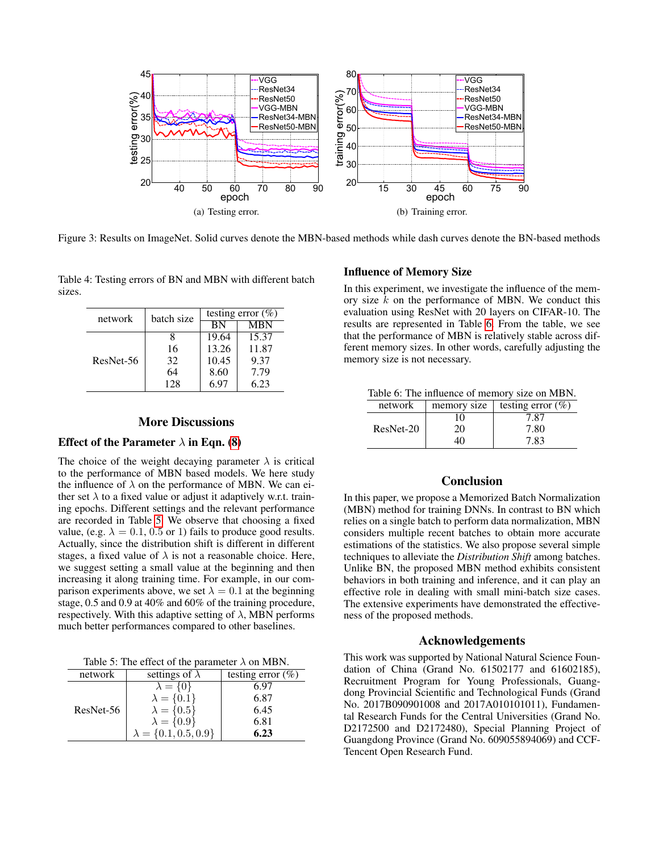

Figure 3: Results on ImageNet. Solid curves denote the MBN-based methods while dash curves denote the BN-based methods

Table 4: Testing errors of BN and MBN with different batch sizes.

<span id="page-6-0"></span>

|           | batch size | testing error $(\% )$ |       |  |
|-----------|------------|-----------------------|-------|--|
| network   |            | <b>MBN</b>            |       |  |
|           |            | BN                    |       |  |
| ResNet-56 |            | 19.64                 | 15.37 |  |
|           | 16         | 13.26                 | 11.87 |  |
|           | 32         | 10.45                 | 9.37  |  |
|           | 64         | 8.60                  | 7.79  |  |
|           | 128        | 6.97                  | 6.23  |  |

# More Discussions

## Effect of the Parameter  $\lambda$  in Eqn. [\(8\)](#page-2-4)

The choice of the weight decaying parameter  $\lambda$  is critical to the performance of MBN based models. We here study the influence of  $\lambda$  on the performance of MBN. We can either set  $\lambda$  to a fixed value or adjust it adaptively w.r.t. training epochs. Different settings and the relevant performance are recorded in Table [5.](#page-6-1) We observe that choosing a fixed value, (e.g.  $\lambda = 0.1, 0.5$  or 1) fails to produce good results. Actually, since the distribution shift is different in different stages, a fixed value of  $\lambda$  is not a reasonable choice. Here, we suggest setting a small value at the beginning and then increasing it along training time. For example, in our comparison experiments above, we set  $\lambda = 0.1$  at the beginning stage, 0.5 and 0.9 at 40% and 60% of the training procedure, respectively. With this adaptive setting of  $\lambda$ , MBN performs much better performances compared to other baselines.

<span id="page-6-1"></span>Table 5: The effect of the parameter  $\lambda$  on MBN.

| network   | settings of $\lambda$         | testing error $(\%)$ |
|-----------|-------------------------------|----------------------|
| ResNet-56 | $\lambda = \{0\}$             | 6.97                 |
|           | $\lambda = \{0.1\}$           | 6.87                 |
|           | $\lambda = \{0.5\}$           | 6.45                 |
|           | $\lambda = \{0.9\}$           | 6.81                 |
|           | $\lambda = \{0.1, 0.5, 0.9\}$ | 6.23                 |

# Influence of Memory Size

In this experiment, we investigate the influence of the memory size  $k$  on the performance of MBN. We conduct this evaluation using ResNet with 20 layers on CIFAR-10. The results are represented in Table [6.](#page-6-2) From the table, we see that the performance of MBN is relatively stable across different memory sizes. In other words, carefully adjusting the memory size is not necessary.

<span id="page-6-2"></span>Table 6: The influence of memory size on MBN.

| network   | memory size | testing error $(\% )$ |
|-----------|-------------|-----------------------|
| ResNet-20 | 10          | 7.87                  |
|           | 20          | 7.80                  |
|           | 40          | 7.83                  |

# Conclusion

In this paper, we propose a Memorized Batch Normalization (MBN) method for training DNNs. In contrast to BN which relies on a single batch to perform data normalization, MBN considers multiple recent batches to obtain more accurate estimations of the statistics. We also propose several simple techniques to alleviate the *Distribution Shift* among batches. Unlike BN, the proposed MBN method exhibits consistent behaviors in both training and inference, and it can play an effective role in dealing with small mini-batch size cases. The extensive experiments have demonstrated the effectiveness of the proposed methods.

#### Acknowledgements

This work was supported by National Natural Science Foundation of China (Grand No. 61502177 and 61602185), Recruitment Program for Young Professionals, Guangdong Provincial Scientific and Technological Funds (Grand No. 2017B090901008 and 2017A010101011), Fundamental Research Funds for the Central Universities (Grand No. D2172500 and D2172480), Special Planning Project of Guangdong Province (Grand No. 609055894069) and CCF-Tencent Open Research Fund.